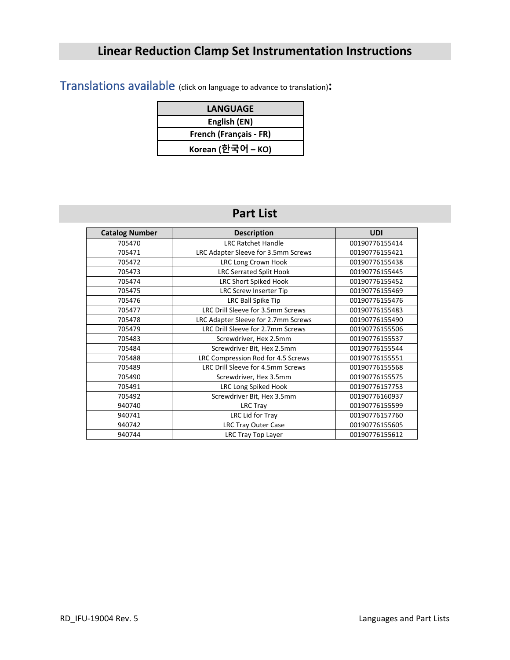# **Linear Reduction Clamp Set Instrumentation Instructions**

Translations available (click on language to advance to translation)**:**

| <b>LANGUAGE</b>        |  |  |
|------------------------|--|--|
| English (EN)           |  |  |
| French (Français - FR) |  |  |
| Когеап (한국어 – КО)      |  |  |

# **Part List**

| <b>Catalog Number</b> | <b>Description</b>                  | <b>UDI</b>     |
|-----------------------|-------------------------------------|----------------|
| 705470                | <b>LRC Ratchet Handle</b>           | 00190776155414 |
| 705471                | LRC Adapter Sleeve for 3.5mm Screws | 00190776155421 |
| 705472                | LRC Long Crown Hook                 | 00190776155438 |
| 705473                | <b>LRC Serrated Split Hook</b>      | 00190776155445 |
| 705474                | <b>LRC Short Spiked Hook</b>        | 00190776155452 |
| 705475                | LRC Screw Inserter Tip              | 00190776155469 |
| 705476                | LRC Ball Spike Tip                  | 00190776155476 |
| 705477                | LRC Drill Sleeve for 3.5mm Screws   | 00190776155483 |
| 705478                | LRC Adapter Sleeve for 2.7mm Screws | 00190776155490 |
| 705479                | LRC Drill Sleeve for 2.7mm Screws   | 00190776155506 |
| 705483                | Screwdriver, Hex 2.5mm              | 00190776155537 |
| 705484                | Screwdriver Bit, Hex 2.5mm          | 00190776155544 |
| 705488                | LRC Compression Rod for 4.5 Screws  | 00190776155551 |
| 705489                | LRC Drill Sleeve for 4.5mm Screws   | 00190776155568 |
| 705490                | Screwdriver, Hex 3.5mm              | 00190776155575 |
| 705491                | LRC Long Spiked Hook                | 00190776157753 |
| 705492                | Screwdriver Bit, Hex 3.5mm          | 00190776160937 |
| 940740                | LRC Tray                            | 00190776155599 |
| 940741                | LRC Lid for Tray                    | 00190776157760 |
| 940742                | <b>LRC Tray Outer Case</b>          | 00190776155605 |
| 940744                | LRC Tray Top Layer                  | 00190776155612 |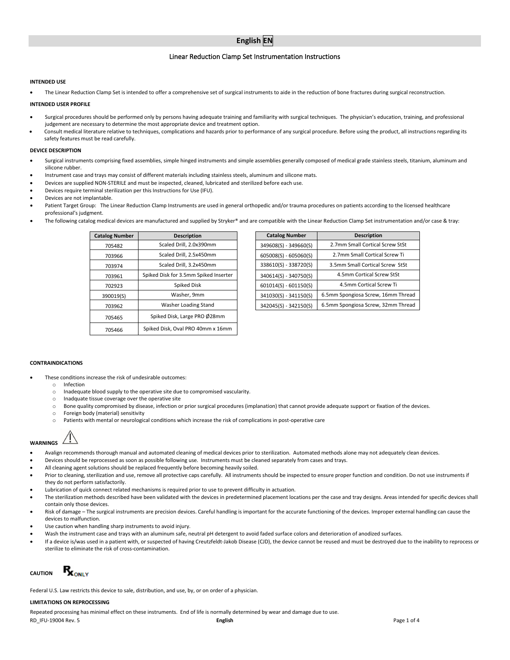# **English EN**

# Linear Reduction Clamp Set Instrumentation Instructions

#### **INTENDED USE**

• The Linear Reduction Clamp Set is intended to offer a comprehensive set of surgical instruments to aide in the reduction of bone fractures during surgical reconstruction.

#### **INTENDED USER PROFILE**

- Surgical procedures should be performed only by persons having adequate training and familiarity with surgical techniques. The physician's education, training, and professional judgement are necessary to determine the most appropriate device and treatment option.
- Consult medical literature relative to techniques, complications and hazards prior to performance of any surgical procedure. Before using the product, all instructions regarding its safety features must be read carefully.

#### **DEVICE DESCRIPTION**

- Surgical instruments comprising fixed assemblies, simple hinged instruments and simple assemblies generally composed of medical grade stainless steels, titanium, aluminum and silicone rubber.
- Instrument case and trays may consist of different materials including stainless steels, aluminum and silicone mats.
- Devices are supplied NON-STERILE and must be inspected, cleaned, lubricated and sterilized before each use.
- Devices require terminal sterilization per this Instructions for Use (IFU).
- Devices are not implantable.
- Patient Target Group: The Linear Reduction Clamp Instruments are used in general orthopedic and/or trauma procedures on patients according to the licensed healthcare professional's judgment.
- The following catalog medical devices are manufactured and supplied by Stryker® and are compatible with the Linear Reduction Clamp Set instrumentation and/or case & tray:

| <b>Catalog Number</b> | <b>Description</b>                    | <b>Catalog Number</b>   | Description            |
|-----------------------|---------------------------------------|-------------------------|------------------------|
| 705482                | Scaled Drill, 2.0x390mm               | 349608(S) - 349660(S)   | 2.7mm Small Cortical   |
| 703966                | Scaled Drill, 2.5x450mm               | $605008(S) - 605060(S)$ | 2.7mm Small Cortica    |
| 703974                | Scaled Drill, 3.2x450mm               | 338610(S) - 338720(S)   | 3.5mm Small Cortical ! |
| 703961                | Spiked Disk for 3.5mm Spiked Inserter | 340614(S) - 340750(S)   | 4.5mm Cortical Scr     |
| 702923                | Spiked Disk                           | $601014(S) - 601150(S)$ | 4.5mm Cortical Sc      |
| 390019(S)             | Washer, 9mm                           | 341030(S) - 341150(S)   | 6.5mm Spongiosa Screw, |
| 703962                | Washer Loading Stand                  | 342045(S) - 342150(S)   | 6.5mm Spongiosa Screw, |
| 705465                | Spiked Disk, Large PRO Ø28mm          |                         |                        |
| 705466                | Spiked Disk. Oval PRO 40mm x 16mm     |                         |                        |

| alog Number | <b>Description</b>                    | <b>Catalog Number</b>   | <b>Description</b>                 |
|-------------|---------------------------------------|-------------------------|------------------------------------|
| 705482      | Scaled Drill, 2.0x390mm               | 349608(S) - 349660(S)   | 2.7mm Small Cortical Screw StSt    |
| 703966      | Scaled Drill, 2.5x450mm               | $605008(S) - 605060(S)$ | 2.7mm Small Cortical Screw Ti      |
| 703974      | Scaled Drill, 3.2x450mm               | 338610(S) - 338720(S)   | 3.5mm Small Cortical Screw StSt    |
| 703961      | Spiked Disk for 3.5mm Spiked Inserter | 340614(S) - 340750(S)   | 4.5mm Cortical Screw StSt          |
| 702923      | Spiked Disk                           | $601014(S) - 601150(S)$ | 4.5mm Cortical Screw Ti            |
| 390019(S)   | Washer, 9mm                           | 341030(S) - 341150(S)   | 6.5mm Spongiosa Screw, 16mm Thread |
| 703962      | Washer Loading Stand                  | 342045(S) - 342150(S)   | 6.5mm Spongiosa Screw, 32mm Thread |
|             |                                       |                         |                                    |

# **CONTRAINDICATIONS**

- These conditions increase the risk of undesirable outcomes:
	- o Infection
	- Inadequate blood supply to the operative site due to compromised vascularity.
	-
	- o Inadquate tissue coverage over the operative site<br>  $\circ$  Bone quality compromised by disease, infection o ○ Bone quality compromised by disease, infection or prior surgical procedures (implanation) that cannot provide adequate support or fixation of the devices.<br>○ Foreign body (material) sensitivity
	- Foreign body (material) sensitivity
	- o Patients with mental or neurological conditions which increase the risk of complications in post-operative care

# **WARNINGS**

- Avalign recommends thorough manual and automated cleaning of medical devices prior to sterilization. Automated methods alone may not adequately clean devices.
- Devices should be reprocessed as soon as possible following use. Instruments must be cleaned separately from cases and trays.
- All cleaning agent solutions should be replaced frequently before becoming heavily soiled.
- Prior to cleaning, sterilization and use, remove all protective caps carefully. All instruments should be inspected to ensure proper function and condition. Do not use instruments if they do not perform satisfactorily.
- Lubrication of quick connect related mechanisms is required prior to use to prevent difficulty in actuation.
- The sterilization methods described have been validated with the devices in predetermined placement locations per the case and tray designs. Areas intended for specific devices shall contain only those devices.
- Risk of damage The surgical instruments are precision devices. Careful handling is important for the accurate functioning of the devices. Improper external handling can cause the devices to malfunction.
- Use caution when handling sharp instruments to avoid injury.
- Wash the instrument case and trays with an aluminum safe, neutral pH detergent to avoid faded surface colors and deterioration of anodized surfaces.
- If a device is/was used in a patient with, or suspected of having Creutzfeldt-Jakob Disease (CJD), the device cannot be reused and must be destroyed due to the inability to reprocess or sterilize to eliminate the risk of cross-contamination.



Federal U.S. Law restricts this device to sale, distribution, and use, by, or on order of a physician.

#### **LIMITATIONS ON REPROCESSING**

Repeated processing has minimal effect on these instruments. End of life is normally determined by wear and damage due to use.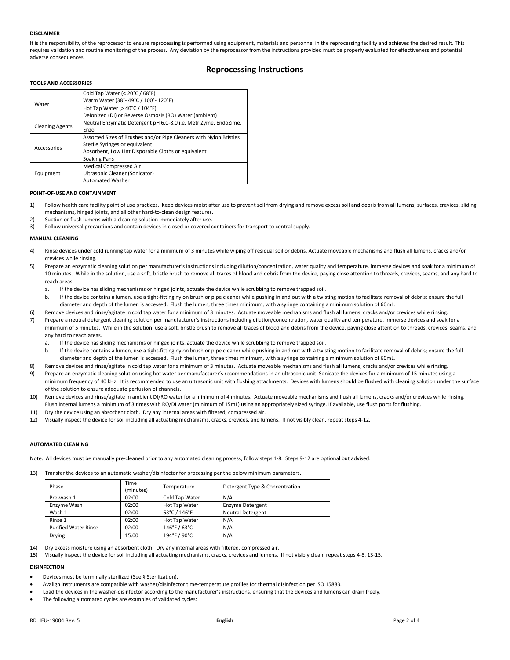#### **DISCLAIMER**

It is the responsibility of the reprocessor to ensure reprocessing is performed using equipment, materials and personnel in the reprocessing facility and achieves the desired result. This requires validation and routine monitoring of the process. Any deviation by the reprocessor from the instructions provided must be properly evaluated for effectiveness and potential adverse consequences.

# **Reprocessing Instructions**

### **TOOLS AND ACCESSORIES**

|                        | Cold Tap Water (< 20°C / 68°F)<br>Warm Water (38°-49°C / 100°-120°F) |
|------------------------|----------------------------------------------------------------------|
| Water                  |                                                                      |
|                        | Hot Tap Water ( $>$ 40 $^{\circ}$ C / 104 $^{\circ}$ F)              |
|                        | Deionized (DI) or Reverse Osmosis (RO) Water (ambient)               |
|                        | Neutral Enzymatic Detergent pH 6.0-8.0 i.e. MetriZyme, EndoZime,     |
| <b>Cleaning Agents</b> | Enzol                                                                |
|                        | Assorted Sizes of Brushes and/or Pipe Cleaners with Nylon Bristles   |
| Accessories            | Sterile Syringes or equivalent                                       |
|                        | Absorbent, Low Lint Disposable Cloths or equivalent                  |
|                        | Soaking Pans                                                         |
|                        | Medical Compressed Air                                               |
| Equipment              | Ultrasonic Cleaner (Sonicator)                                       |
|                        | <b>Automated Washer</b>                                              |

#### **POINT-OF-USE AND CONTAINMENT**

- 1) Follow health care facility point of use practices. Keep devices moist after use to prevent soil from drying and remove excess soil and debris from all lumens, surfaces, crevices, sliding mechanisms, hinged joints, and all other hard-to-clean design features.
- 2) Suction or flush lumens with a cleaning solution immediately after use.
- 3) Follow universal precautions and contain devices in closed or covered containers for transport to central supply.

#### **MANUAL CLEANING**

- 4) Rinse devices under cold running tap water for a minimum of 3 minutes while wiping off residual soil or debris. Actuate moveable mechanisms and flush all lumens, cracks and/or crevices while rinsing.
- 5) Prepare an enzymatic cleaning solution per manufacturer's instructions including dilution/concentration, water quality and temperature. Immerse devices and soak for a minimum of 10 minutes. While in the solution, use a soft, bristle brush to remove all traces of blood and debris from the device, paying close attention to threads, crevices, seams, and any hard to reach areas
	- a. If the device has sliding mechanisms or hinged joints, actuate the device while scrubbing to remove trapped soil.
	- b. If the device contains a lumen, use a tight-fitting nylon brush or pipe cleaner while pushing in and out with a twisting motion to facilitate removal of debris; ensure the full diameter and depth of the lumen is accessed. Flush the lumen, three times minimum, with a syringe containing a minimum solution of 60mL.
- 6) Remove devices and rinse/agitate in cold tap water for a minimum of 3 minutes. Actuate moveable mechanisms and flush all lumens, cracks and/or crevices while rinsing. 7) Prepare a neutral detergent cleaning solution per manufacturer's instructions including dilution/concentration, water quality and temperature. Immerse devices and soak for a minimum of 5 minutes. While in the solution, use a soft, bristle brush to remove all traces of blood and debris from the device, paying close attention to threads, crevices, seams, and any hard to reach areas.
	- a. If the device has sliding mechanisms or hinged joints, actuate the device while scrubbing to remove trapped soil.
	- b. If the device contains a lumen, use a tight-fitting nylon brush or pipe cleaner while pushing in and out with a twisting motion to facilitate removal of debris; ensure the full diameter and depth of the lumen is accessed. Flush the lumen, three times minimum, with a syringe containing a minimum solution of 60mL.
- 8) Remove devices and rinse/agitate in cold tap water for a minimum of 3 minutes. Actuate moveable mechanisms and flush all lumens, cracks and/or crevices while rinsing.
- 9) Prepare an enzymatic cleaning solution using hot water per manufacturer's recommendations in an ultrasonic unit. Sonicate the devices for a minimum of 15 minutes using a minimum frequency of 40 kHz. It is recommended to use an ultrasonic unit with flushing attachments. Devices with lumens should be flushed with cleaning solution under the surface of the solution to ensure adequate perfusion of channels.
- 10) Remove devices and rinse/agitate in ambient DI/RO water for a minimum of 4 minutes. Actuate moveable mechanisms and flush all lumens, cracks and/or crevices while rinsing. Flush internal lumens a minimum of 3 times with RO/DI water (minimum of 15mL) using an appropriately sized syringe. If available, use flush ports for flushing.
- 11) Dry the device using an absorbent cloth. Dry any internal areas with filtered, compressed air.
- 12) Visually inspect the device for soil including all actuating mechanisms, cracks, crevices, and lumens. If not visibly clean, repeat steps 4-12.

## **AUTOMATED CLEANING**

Note: All devices must be manually pre-cleaned prior to any automated cleaning process, follow steps 1-8. Steps 9-12 are optional but advised.

13) Transfer the devices to an automatic washer/disinfector for processing per the below minimum parameters.

| Phase                       | Time<br>(minutes) | Temperature    | Detergent Type & Concentration |
|-----------------------------|-------------------|----------------|--------------------------------|
| Pre-wash 1                  | 02:00             | Cold Tap Water | N/A                            |
| Enzyme Wash                 | 02:00             | Hot Tap Water  | <b>Enzyme Detergent</b>        |
| Wash 1                      | 02:00             | 63°C / 146°F   | <b>Neutral Detergent</b>       |
| Rinse 1                     | 02:00             | Hot Tap Water  | N/A                            |
| <b>Purified Water Rinse</b> | 02:00             | 146°F / 63°C   | N/A                            |
| Drying                      | 15:00             | 194°F / 90°C   | N/A                            |

- 14) Dry excess moisture using an absorbent cloth. Dry any internal areas with filtered, compressed air.
- 15) Visually inspect the device for soil including all actuating mechanisms, cracks, crevices and lumens. If not visibly clean, repeat steps 4-8, 13-15.

# **DISINFECTION**

- Devices must be terminally sterilized (See § Sterilization).
- Avalign instruments are compatible with washer/disinfector time-temperature profiles for thermal disinfection per ISO 15883.
- Load the devices in the washer-disinfector according to the manufacturer's instructions, ensuring that the devices and lumens can drain freely.
- The following automated cycles are examples of validated cycles: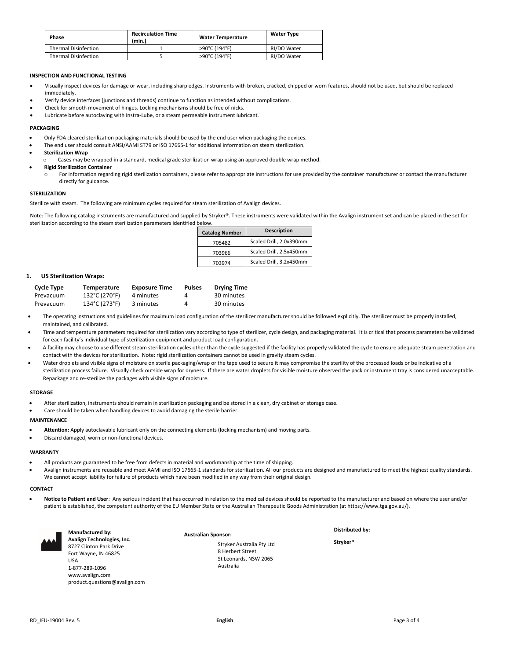| Phase                       | <b>Recirculation Time</b><br>(min.) | <b>Water Temperature</b> | <b>Water Type</b> |
|-----------------------------|-------------------------------------|--------------------------|-------------------|
| <b>Thermal Disinfection</b> |                                     | >90°C (194°F)            | RI/DO Water       |
| <b>Thermal Disinfection</b> |                                     | >90°C (194°F)            | RI/DO Water       |

#### **INSPECTION AND FUNCTIONAL TESTING**

- Visually inspect devices for damage or wear, including sharp edges. Instruments with broken, cracked, chipped or worn features, should not be used, but should be replaced immediately.
- Verify device interfaces (junctions and threads) continue to function as intended without complications.
- Check for smooth movement of hinges. Locking mechanisms should be free of nicks.
- Lubricate before autoclaving with Instra-Lube, or a steam permeable instrument lubricant.

#### **PACKAGING**

- Only FDA cleared sterilization packaging materials should be used by the end user when packaging the devices.
- The end user should consult ANSI/AAMI ST79 or ISO 17665-1 for additional information on steam sterilization.
- **Sterilization Wrap**
- Cases may be wrapped in a standard, medical grade sterilization wrap using an approved double wrap method.

• **Rigid Sterilization Container**

For information regarding rigid sterilization containers, please refer to appropriate instructions for use provided by the container manufacturer or contact the manufacturer directly for guidance.

#### **STERILIZATION**

Sterilize with steam. The following are minimum cycles required for steam sterilization of Avalign devices.

Note: The following catalog instruments are manufactured and supplied by Stryker®. These instruments were validated within the Avalign instrument set and can be placed in the set for sterilization according to the steam sterilization parameters identified below.

| <b>Catalog Number</b> | <b>Description</b>      |  |  |
|-----------------------|-------------------------|--|--|
| 705482                | Scaled Drill, 2.0x390mm |  |  |
| 703966                | Scaled Drill, 2.5x450mm |  |  |
| 703974                | Scaled Drill, 3.2x450mm |  |  |

### **1. US Sterilization Wraps:**

| <b>Cycle Type</b> | Temperature   | <b>Exposure Time</b> | <b>Pulses</b> | <b>Drying Time</b> |
|-------------------|---------------|----------------------|---------------|--------------------|
| Prevacuum         | 132°C (270°F) | 4 minutes            | 4             | 30 minutes         |
| Prevacuum         | 134°C (273°F) | 3 minutes            | Δ             | 30 minutes         |

- The operating instructions and guidelines for maximum load configuration of the sterilizer manufacturer should be followed explicitly. The sterilizer must be properly installed, maintained, and calibrated.
- Time and temperature parameters required for sterilization vary according to type of sterilizer, cycle design, and packaging material. It is critical that process parameters be validated for each facility's individual type of sterilization equipment and product load configuration.
- A facility may choose to use different steam sterilization cycles other than the cycle suggested if the facility has properly validated the cycle to ensure adequate steam penetration and contact with the devices for sterilization. Note: rigid sterilization containers cannot be used in gravity steam cycles.
- Water droplets and visible signs of moisture on sterile packaging/wrap or the tape used to secure it may compromise the sterility of the processed loads or be indicative of a sterilization process failure. Visually check outside wrap for dryness. If there are water droplets for visible moisture observed the pack or instrument tray is considered unacceptable. Repackage and re-sterilize the packages with visible signs of moisture.

#### **STORAGE**

- After sterilization, instruments should remain in sterilization packaging and be stored in a clean, dry cabinet or storage case.
- Care should be taken when handling devices to avoid damaging the sterile barrier.

# **MAINTENANCE**

- **Attention:** Apply autoclavable lubricant only on the connecting elements (locking mechanism) and moving parts.
- Discard damaged, worn or non-functional devices.

#### **WARRANTY**

- All products are guaranteed to be free from defects in material and workmanship at the time of shipping.
- Avalign instruments are reusable and meet AAMI and ISO 17665-1 standards for sterilization. All our products are designed and manufactured to meet the highest quality standards. We cannot accept liability for failure of products which have been modified in any way from their original design.

#### **CONTACT**

• **Notice to Patient and User**: Any serious incident that has occurred in relation to the medical devices should be reported to the manufacturer and based on where the user and/or patient is established, the competent authority of the EU Member State or the Australian Therapeutic Goods Administration (at https://www.tga.gov.au/).



**Manufactured by: Avalign Technologies, Inc.** 8727 Clinton Park Drive Fort Wayne, IN 46825 USA 1-877-289-1096 [www.avalign.com](http://www.avalign.com/) [product.questions@avalign.com](mailto:product.questions@avalign.com)

**Australian Sponsor:** Stryker Australia Pty Ltd 8 Herbert Street St Leonards, NSW 2065 Australia

**Distributed by:**

**Stryker®**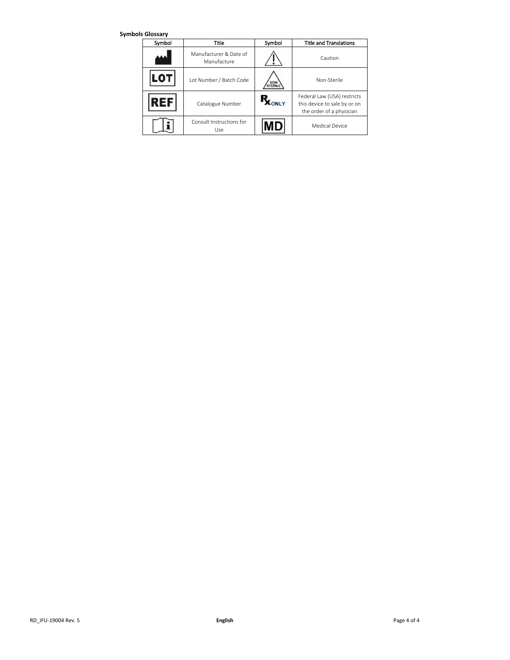**Symbols Glossary**

| Symbol | Title                                 | Symbol      | <b>Title and Translations</b>                                                           |
|--------|---------------------------------------|-------------|-----------------------------------------------------------------------------------------|
|        | Manufacturer & Date of<br>Manufacture |             | Caution                                                                                 |
|        | Lot Number / Batch Code               | NON         | Non-Sterile                                                                             |
| ЕF     | Catalogue Number                      | <b>ONLY</b> | Federal Law (USA) restricts<br>this device to sale by or on<br>the order of a physician |
|        | Consult Instructions for<br>Use       |             | Medical Device                                                                          |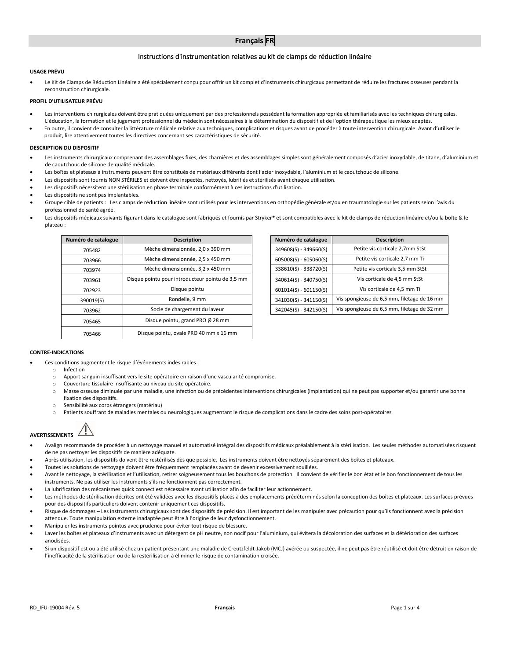# **Français FR**

# Instructions d'instrumentation relatives au kit de clamps de réduction linéaire

#### **USAGE PRÉVU**

Le Kit de Clamps de Réduction Linéaire a été spécialement conçu pour offrir un kit complet d'instruments chirurgicaux permettant de réduire les fractures osseuses pendant la reconstruction chirurgicale.

# **PROFIL D'UTILISATEUR PRÉVU**

- Les interventions chirurgicales doivent être pratiquées uniquement par des professionnels possédant la formation appropriée et familiarisés avec les techniques chirurgicales. L'éducation, la formation et le jugement professionnel du médecin sont nécessaires à la détermination du dispositif et de l'option thérapeutique les mieux adaptés.
- En outre, il convient de consulter la littérature médicale relative aux techniques, complications et risques avant de procéder à toute intervention chirurgicale. Avant d'utiliser le produit, lire attentivement toutes les directives concernant ses caractéristiques de sécurité.

#### **DESCRIPTION DU DISPOSITIF**

- Les instruments chirurgicaux comprenant des assemblages fixes, des charnières et des assemblages simples sont généralement composés d'acier inoxydable, de titane, d'aluminium et de caoutchouc de silicone de qualité médicale.
- Les boîtes et plateaux à instruments peuvent être constitués de matériaux différents dont l'acier inoxydable, l'aluminium et le caoutchouc de silicone.
- Les dispositifs sont fournis NON STÉRILES et doivent être inspectés, nettoyés, lubrifiés et stérilisés avant chaque utilisation.
- Les dispositifs nécessitent une stérilisation en phase terminale conformément à ces instructions d'utilisation.
- Les dispositifs ne sont pas implantables.
- Groupe cible de patients : Les clamps de réduction linéaire sont utilisés pour les interventions en orthopédie générale et/ou en traumatologie sur les patients selon l'avis du professionnel de santé agréé.
- Les dispositifs médicaux suivants figurant dans le catalogue sont fabriqués et fournis par Stryker® et sont compatibles avec le kit de clamps de réduction linéaire et/ou la boîte & le plateau :

| Numéro de catalogue | <b>Description</b>                               | Numéro de catalogue     | <b>Description</b>                    |
|---------------------|--------------------------------------------------|-------------------------|---------------------------------------|
| 705482              | Mèche dimensionnée, 2,0 x 390 mm                 | 349608(S) - 349660(S)   | Petite vis corticale 2,7mm StSt       |
| 703966              | Mèche dimensionnée, 2,5 x 450 mm                 | 605008(S) - 605060(S)   | Petite vis corticale 2,7 mm Ti        |
| 703974              | Mèche dimensionnée, 3,2 x 450 mm                 | 338610(S) - 338720(S)   | Petite vis corticale 3,5 mm StSt      |
| 703961              | Disque pointu pour introducteur pointu de 3,5 mm | $340614(S) - 340750(S)$ | Vis corticale de 4,5 mm StSt          |
| 702923              | Disque pointu                                    | $601014(S) - 601150(S)$ | Vis corticale de 4,5 mm Ti            |
| 390019(S)           | Rondelle, 9 mm                                   | 341030(S) - 341150(S)   | Vis spongieuse de 6,5 mm, filetage de |
| 703962              | Socle de chargement du laveur                    | 342045(S) - 342150(S)   | Vis spongieuse de 6,5 mm, filetage de |
| 705465              | Disque pointu, grand PRO Ø 28 mm                 |                         |                                       |
| 705466              | Disque pointu, ovale PRO 40 mm x 16 mm           |                         |                                       |

| ro de catalogue | <b>Description</b>                               | Numéro de catalogue     | <b>Description</b>                          |
|-----------------|--------------------------------------------------|-------------------------|---------------------------------------------|
| 705482          | Mèche dimensionnée, 2,0 x 390 mm                 | 349608(S) - 349660(S)   | Petite vis corticale 2,7mm StSt             |
| 703966          | Mèche dimensionnée, 2,5 x 450 mm                 | $605008(S) - 605060(S)$ | Petite vis corticale 2,7 mm Ti              |
| 703974          | Mèche dimensionnée, 3,2 x 450 mm                 | 338610(S) - 338720(S)   | Petite vis corticale 3,5 mm StSt            |
| 703961          | Disque pointu pour introducteur pointu de 3,5 mm | $340614(S) - 340750(S)$ | Vis corticale de 4,5 mm StSt                |
| 702923          | Disque pointu                                    | $601014(S) - 601150(S)$ | Vis corticale de 4,5 mm Ti                  |
| 390019(S)       | Rondelle, 9 mm                                   | 341030(S) - 341150(S)   | Vis spongieuse de 6,5 mm, filetage de 16 mm |
| 703962          | Socle de chargement du laveur                    | 342045(S) - 342150(S)   | Vis spongieuse de 6,5 mm, filetage de 32 mm |
|                 |                                                  |                         |                                             |

# **CONTRE-INDICATIONS**

- Ces conditions augmentent le risque d'événements indésirables :
	- o Infection
	- o Apport sanguin insuffisant vers le site opératoire en raison d'une vascularité compromise.
	- o Couverture tissulaire insuffisante au niveau du site opératoire.
	- o Masse osseuse diminuée par une maladie, une infection ou de précédentes interventions chirurgicales (implantation) qui ne peut pas supporter et/ou garantir une bonne fixation des dispositifs.
	- o Sensibilité aux corps étrangers (matériau)
	- o Patients souffrant de maladies mentales ou neurologiques augmentant le risque de complications dans le cadre des soins post-opératoires

# **AVERTISSEMENTS**

- Avalign recommande de procéder à un nettoyage manuel et automatisé intégral des dispositifs médicaux préalablement à la stérilisation. Les seules méthodes automatisées risquent de ne pas nettoyer les dispositifs de manière adéquate.
- Après utilisation, les dispositifs doivent être restérilisés dès que possible. Les instruments doivent être nettoyés séparément des boîtes et plateaux.
- Toutes les solutions de nettoyage doivent être fréquemment remplacées avant de devenir excessivement souillées.
- Avant le nettoyage, la stérilisation et l'utilisation, retirer soigneusement tous les bouchons de protection. Il convient de vérifier le bon état et le bon fonctionnement de tous les instruments. Ne pas utiliser les instruments s'ils ne fonctionnent pas correctement.
- La lubrification des mécanismes quick connect est nécessaire avant utilisation afin de faciliter leur actionnement.
- Les méthodes de stérilisation décrites ont été validées avec les dispositifs placés à des emplacements prédéterminés selon la conception des boîtes et plateaux. Les surfaces prévues pour des dispositifs particuliers doivent contenir uniquement ces dispositifs.
- Risque de dommages Les instruments chirurgicaux sont des dispositifs de précision. Il est important de les manipuler avec précaution pour qu'ils fonctionnent avec la précision attendue. Toute manipulation externe inadaptée peut être à l'origine de leur dysfonctionnement.
- Manipuler les instruments pointus avec prudence pour éviter tout risque de blessure.
- Laver les boîtes et plateaux d'instruments avec un détergent de pH neutre, non nocif pour l'aluminium, qui évitera la décoloration des surfaces et la détérioration des surfaces anodisées.
- Si un dispositif est ou a été utilisé chez un patient présentant une maladie de Creutzfeldt-Jakob (MCJ) avérée ou suspectée, il ne peut pas être réutilisé et doit être détruit en raison de l'inefficacité de la stérilisation ou de la restérilisation à éliminer le risque de contamination croisée.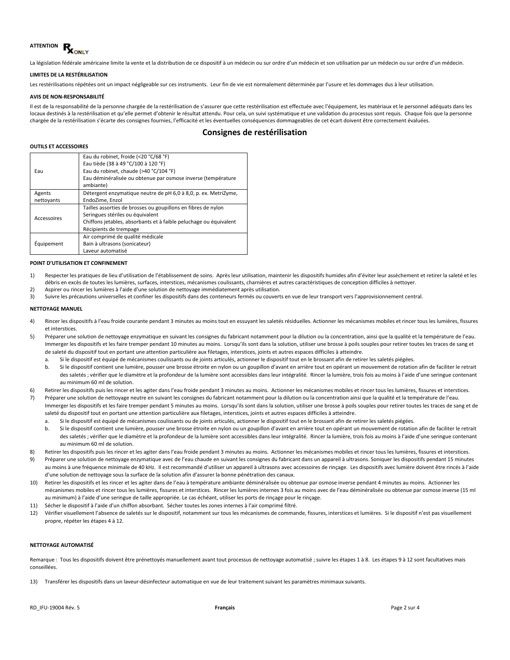

La législation fédérale américaine limite la vente et la distribution de ce dispositif à un médecin ou sur ordre d'un médecin et son utilisation par un médecin ou sur ordre d'un médecin.

#### **LIMITES DE LA RESTÉRILISATION**

Les restérilisations répétées ont un impact négligeable sur ces instruments. Leur fin de vie est normalement déterminée par l'usure et les dommages dus à leur utilisation.

#### **AVIS DE NON-RESPONSABILITÉ**

Il est de la responsabilité de la personne chargée de la restérilisation de s'assurer que cette restérilisation est effectuée avec l'équipement, les matériaux et le personnel adéquats dans les locaux destinés à la restérilisation et qu'elle permet d'obtenir le résultat attendu. Pour cela, un suivi systématique et une validation du processus sont requis. Chaque fois que la personne chargée de la restérilisation s'écarte des consignes fournies, l'efficacité et les éventuelles conséquences dommageables de cet écart doivent être correctement évaluées.

# **Consignes de restérilisation**

#### **OUTILS ET ACCESSOIRES**

|             | Eau du robinet, froide (<20 °C/68 °F)                             |
|-------------|-------------------------------------------------------------------|
|             | Eau tiède (38 à 49 °C/100 à 120 °F)                               |
| Eau         | Eau du robinet, chaude (>40 °C/104 °F)                            |
|             | Eau déminéralisée ou obtenue par osmose inverse (température      |
|             | ambiante)                                                         |
| Agents      | Détergent enzymatique neutre de pH 6,0 à 8,0, p. ex. MetriZyme,   |
| nettoyants  | EndoZime. Enzol                                                   |
|             | Tailles assorties de brosses ou goupillons en fibres de nylon     |
| Accessoires | Seringues stériles ou équivalent                                  |
|             | Chiffons jetables, absorbants et à faible peluchage ou équivalent |
|             | Récipients de trempage                                            |
|             | Air comprimé de qualité médicale                                  |
| Equipement  | Bain à ultrasons (sonicateur)                                     |
|             | Laveur automatisé                                                 |

#### **POINT D'UTILISATION ET CONFINEMENT**

- 1) Respecter les pratiques de lieu d'utilisation de l'établissement de soins. Après leur utilisation, maintenir les dispositifs humides afin d'éviter leur assèchement et retirer la saleté et les débris en excès de toutes les lumières, surfaces, interstices, mécanismes coulissants, charnières et autres caractéristiques de conception difficiles à nettoyer.
- 2) Aspirer ou rincer les lumières à l'aide d'une solution de nettoyage immédiatement après utilisation.
- 3) Suivre les précautions universelles et confiner les dispositifs dans des conteneurs fermés ou couverts en vue de leur transport vers l'approvisionnement central.

#### **NETTOYAGE MANUEL**

- 4) Rincer les dispositifs à l'eau froide courante pendant 3 minutes au moins tout en essuyant les saletés résiduelles. Actionner les mécanismes mobiles et rincer tous les lumières, fissures et interstices.
- 5) Préparer une solution de nettoyage enzymatique en suivant les consignes du fabricant notamment pour la dilution ou la concentration, ainsi que la qualité et la température de l'eau. Immerger les dispositifs et les faire tremper pendant 10 minutes au moins. Lorsqu'ils sont dans la solution, utiliser une brosse à poils souples pour retirer toutes les traces de sang et de saleté du dispositif tout en portant une attention particulière aux filetages, interstices, joints et autres espaces difficiles à atteindre.
	- a. Si le dispositif est équipé de mécanismes coulissants ou de joints articulés, actionner le dispositif tout en le brossant afin de retirer les saletés piégées.
	- b. Si le dispositif contient une lumière, pousser une brosse étroite en nylon ou un goupillon d'avant en arrière tout en opérant un mouvement de rotation afin de faciliter le retrait des saletés ; vérifier que le diamètre et la profondeur de la lumière sont accessibles dans leur intégralité. Rincer la lumière, trois fois au moins à l'aide d'une seringue contenant au minimum 60 ml de solution.
- 6) Retirer les dispositifs puis les rincer et les agiter dans l'eau froide pendant 3 minutes au moins. Actionner les mécanismes mobiles et rincer tous les lumières, fissures et interstices.
- 7) Préparer une solution de nettoyage neutre en suivant les consignes du fabricant notamment pour la dilution ou la concentration ainsi que la qualité et la température de l'eau. Immerger les dispositifs et les faire tremper pendant 5 minutes au moins. Lorsqu'ils sont dans la solution, utiliser une brosse à poils souples pour retirer toutes les traces de sang et de saleté du dispositif tout en portant une attention particulière aux filetages, interstices, joints et autres espaces difficiles à atteindre.
	- Si le dispositif est équipé de mécanismes coulissants ou de joints articulés, actionner le dispositif tout en le brossant afin de retirer les saletés piégées.
	- b. Si le dispositif contient une lumière, pousser une brosse étroite en nylon ou un goupillon d'avant en arrière tout en opérant un mouvement de rotation afin de faciliter le retrait des saletés ; vérifier que le diamètre et la profondeur de la lumière sont accessibles dans leur intégralité. Rincer la lumière, trois fois au moins à l'aide d'une seringue contenant au minimum 60 ml de solution.
- 8) Retirer les dispositifs puis les rincer et les agiter dans l'eau froide pendant 3 minutes au moins. Actionner les mécanismes mobiles et rincer tous les lumières, fissures et interstices.
- 9) Préparer une solution de nettoyage enzymatique avec de l'eau chaude en suivant les consignes du fabricant dans un appareil à ultrasons. Soniquer les dispositifs pendant 15 minutes au moins à une fréquence minimale de 40 kHz. Il est recommandé d'utiliser un appareil à ultrasons avec accessoires de rinçage. Les dispositifs avec lumière doivent être rincés à l'aide d'une solution de nettoyage sous la surface de la solution afin d'assurer la bonne pénétration des canaux.
- 10) Retirer les dispositifs et les rincer et les agiter dans de l'eau à température ambiante déminéralisée ou obtenue par osmose inverse pendant 4 minutes au moins. Actionner les mécanismes mobiles et rincer tous les lumières, fissures et interstices. Rincer les lumières internes 3 fois au moins avec de l'eau déminéralisée ou obtenue par osmose inverse (15 ml au minimum) à l'aide d'une seringue de taille appropriée. Le cas échéant, utiliser les ports de rinçage pour le rinçage.
- 11) Sécher le dispositif à l'aide d'un chiffon absorbant. Sécher toutes les zones internes à l'air comprimé filtré.
- 12) Vérifier visuellement l'absence de saletés sur le dispositif, notamment sur tous les mécanismes de commande, fissures, interstices et lumières. Si le dispositif n'est pas visuellement propre, répéter les étapes 4 à 12.

#### **NETTOYAGE AUTOMATISÉ**

Remarque : Tous les dispositifs doivent être prénettoyés manuellement avant tout processus de nettoyage automatisé ; suivre les étapes 1 à 8. Les étapes 9 à 12 sont facultatives mais conseillées.

13) Transférer les dispositifs dans un laveur-désinfecteur automatique en vue de leur traitement suivant les paramètres minimaux suivants.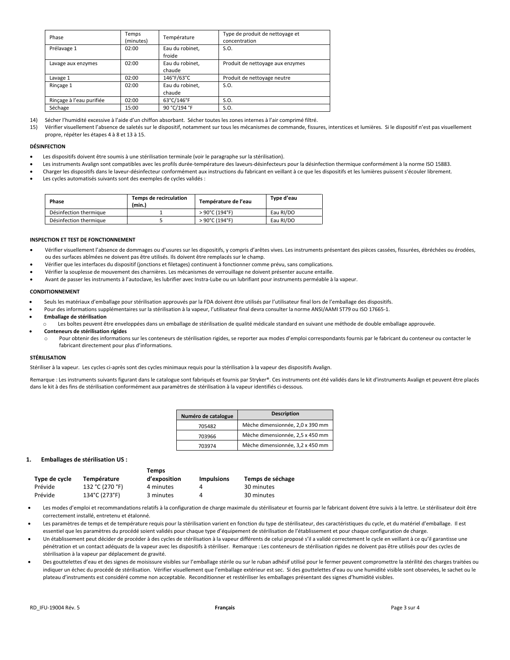| Phase                    | Temps<br>(minutes) | Température               | Type de produit de nettoyage et<br>concentration |
|--------------------------|--------------------|---------------------------|--------------------------------------------------|
| Prélavage 1              | 02:00              | Eau du robinet,<br>froide | S.O.                                             |
| Lavage aux enzymes       | 02:00              | Eau du robinet,<br>chaude | Produit de nettoyage aux enzymes                 |
| Lavage 1                 | 02:00              | 146°F/63°C                | Produit de nettoyage neutre                      |
| Rincage 1                | 02:00              | Eau du robinet.<br>chaude | S.O.                                             |
| Rinçage à l'eau purifiée | 02:00              | 63°C/146°F                | S.O.                                             |
| Séchage                  | 15:00              | 90 °C/194 °F              | S.O.                                             |

14) Sécher l'humidité excessive à l'aide d'un chiffon absorbant. Sécher toutes les zones internes à l'air comprimé filtré.

15) Vérifier visuellement l'absence de saletés sur le dispositif, notamment sur tous les mécanismes de commande, fissures, interstices et lumières. Si le dispositif n'est pas visuellement propre, répéter les étapes 4 à 8 et 13 à 15.

#### **DÉSINFECTION**

- Les dispositifs doivent être soumis à une stérilisation terminale (voir le paragraphe sur la stérilisation).
- Les instruments Avalign sont compatibles avec les profils durée-température des laveurs-désinfecteurs pour la désinfection thermique conformément à la norme ISO 15883.
- Charger les dispositifs dans le laveur-désinfecteur conformément aux instructions du fabricant en veillant à ce que les dispositifs et les lumières puissent s'écouler librement.
- Les cycles automatisés suivants sont des exemples de cycles validés :

| Phase                  | Temps de recirculation<br>(min.) | Température de l'eau               | Type d'eau |
|------------------------|----------------------------------|------------------------------------|------------|
| Désinfection thermique |                                  | $>90^{\circ}$ C (194 $^{\circ}$ F) | Eau RI/DO  |
| Désinfection thermique |                                  | $>90^{\circ}$ C (194°F)            | Eau RI/DO  |

#### **INSPECTION ET TEST DE FONCTIONNEMENT**

- Vérifier visuellement l'absence de dommages ou d'usures sur les dispositifs, y compris d'arêtes vives. Les instruments présentant des pièces cassées, fissurées, ébréchées ou érodées, ou des surfaces abîmées ne doivent pas être utilisés. Ils doivent être remplacés sur le champ.
- Vérifier que les interfaces du dispositif (jonctions et filetages) continuent à fonctionner comme prévu, sans complications.
- Vérifier la souplesse de mouvement des charnières. Les mécanismes de verrouillage ne doivent présenter aucune entaille.
- Avant de passer les instruments à l'autoclave, les lubrifier avec Instra-Lube ou un lubrifiant pour instruments perméable à la vapeur.

#### **CONDITIONNEMENT**

- Seuls les matériaux d'emballage pour stérilisation approuvés par la FDA doivent être utilisés par l'utilisateur final lors de l'emballage des dispositifs.
- Pour des informations supplémentaires sur la stérilisation à la vapeur, l'utilisateur final devra consulter la norme ANSI/AAMI ST79 ou ISO 17665-1.
- **Emballage de stérilisation**
- Les boîtes peuvent être enveloppées dans un emballage de stérilisation de qualité médicale standard en suivant une méthode de double emballage approuvée.
- **Conteneurs de stérilisation rigides**
	- Pour obtenir des informations sur les conteneurs de stérilisation rigides, se reporter aux modes d'emploi correspondants fournis par le fabricant du conteneur ou contacter le fabricant directement pour plus d'informations.

#### **STÉRILISATION**

Stériliser à la vapeur. Les cycles ci-après sont des cycles minimaux requis pour la stérilisation à la vapeur des dispositifs Avalign.

Remarque : Les instruments suivants figurant dans le catalogue sont fabriqués et fournis par Stryker®. Ces instruments ont été validés dans le kit d'instruments Avalign et peuvent être placés dans le kit à des fins de stérilisation conformément aux paramètres de stérilisation à la vapeur identifiés ci-dessous.

| Numéro de catalogue | <b>Description</b>               |
|---------------------|----------------------------------|
| 705482              | Mèche dimensionnée, 2,0 x 390 mm |
| 703966              | Mèche dimensionnée, 2,5 x 450 mm |
| 703974              | Mèche dimensionnée, 3,2 x 450 mm |

#### **1. Emballages de stérilisation US :**

|               |                 | Temps        |                   |                  |
|---------------|-----------------|--------------|-------------------|------------------|
| Type de cycle | Température     | d'exposition | <b>Impulsions</b> | Temps de séchage |
| Prévide       | 132 °C (270 °F) | 4 minutes    | Δ                 | 30 minutes       |
| Prévide       | 134°C (273°F)   | 3 minutes    | Δ                 | 30 minutes       |

- Les modes d'emploi et recommandations relatifs à la configuration de charge maximale du stérilisateur et fournis par le fabricant doivent être suivis à la lettre. Le stérilisateur doit être correctement installé, entretenu et étalonné.
- Les paramètres de temps et de température requis pour la stérilisation varient en fonction du type de stérilisateur, des caractéristiques du cycle, et du matériel d'emballage. Il est essentiel que les paramètres du procédé soient validés pour chaque type d'équipement de stérilisation de l'établissement et pour chaque configuration de charge.
- Un établissement peut décider de procéder à des cycles de stérilisation à la vapeur différents de celui proposé s'il a validé correctement le cycle en veillant à ce qu'il garantisse une pénétration et un contact adéquats de la vapeur avec les dispositifs à stériliser. Remarque : Les conteneurs de stérilisation rigides ne doivent pas être utilisés pour des cycles de stérilisation à la vapeur par déplacement de gravité.
- Des gouttelettes d'eau et des signes de moisissure visibles sur l'emballage stérile ou sur le ruban adhésif utilisé pour le fermer peuvent compromettre la stérilité des charges traitées ou indiquer un échec du procédé de stérilisation. Vérifier visuellement que l'emballage extérieur est sec. Si des gouttelettes d'eau ou une humidité visible sont observées, le sachet ou le plateau d'instruments est considéré comme non acceptable. Reconditionner et restériliser les emballages présentant des signes d'humidité visibles.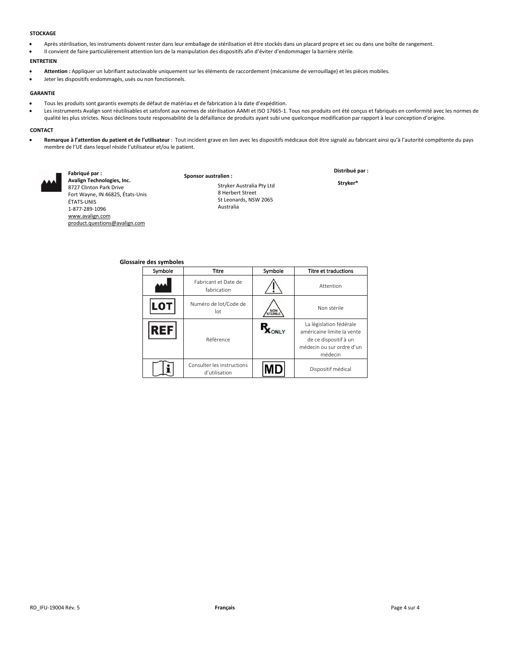### **STOCKAGE**

- Après stérilisation, les instruments doivent rester dans leur emballage de stérilisation et être stockés dans un placard propre et sec ou dans une boîte de rangement.
- Il convient de faire particulièrement attention lors de la manipulation des dispositifs afin d'éviter d'endommager la barrière stérile.

# **ENTRETIEN**

- **Attention :** Appliquer un lubrifiant autoclavable uniquement sur les éléments de raccordement (mécanisme de verrouillage) et les pièces mobiles.
- Jeter les dispositifs endommagés, usés ou non fonctionnels.

#### **GARANTIE**

- Tous les produits sont garantis exempts de défaut de matériau et de fabrication à la date d'expédition.
- Les instruments Avalign sont réutilisables et satisfont aux normes de stérilisation AAMI et ISO 17665-1. Tous nos produits ont été conçus et fabriqués en conformité avec les normes de qualité les plus strictes. Nous déclinons toute responsabilité de la défaillance de produits ayant subi une quelconque modification par rapport à leur conception d'origine.

# **CONTACT**

Remarque à l'attention du patient et de l'utilisateur : Tout incident grave en lien avec les dispositifs médicaux doit être signalé au fabricant ainsi qu'à l'autorité compétente du pays membre de l'UE dans lequel réside l'utilisateur et/ou le patient.



**Fabriqué par : Avalign Technologies, Inc.** 8727 Clinton Park Drive Fort Wayne, IN 46825, États-Unis ÉTATS-UNIS 1-877-289-1096 [www.avalign.com](http://www.avalign.com/) [product.questions@avalign.com](mailto:product.questions@avalign.com)

**Sponsor australien :** Stryker Australia Pty Ltd 8 Herbert Street St Leonards, NSW 2065 Australia

**Distribué par : Stryker®**

**Glossaire des symboles**

| Symbole | Titre                                       | Symbole      | <b>Titre et traductions</b>                                                                                            |
|---------|---------------------------------------------|--------------|------------------------------------------------------------------------------------------------------------------------|
|         | Fabricant et Date de<br>fabrication         |              | Attention                                                                                                              |
|         | Numéro de lot/Code de<br>lot                | NON          | Non stérile                                                                                                            |
| łЕF     | Référence                                   | <b>Y INC</b> | La législation fédérale<br>américaine limite la vente<br>de ce dispositif à un<br>médecin ou sur ordre d'un<br>médecin |
|         | Consulter les instructions<br>d'utilisation |              | Dispositif médical                                                                                                     |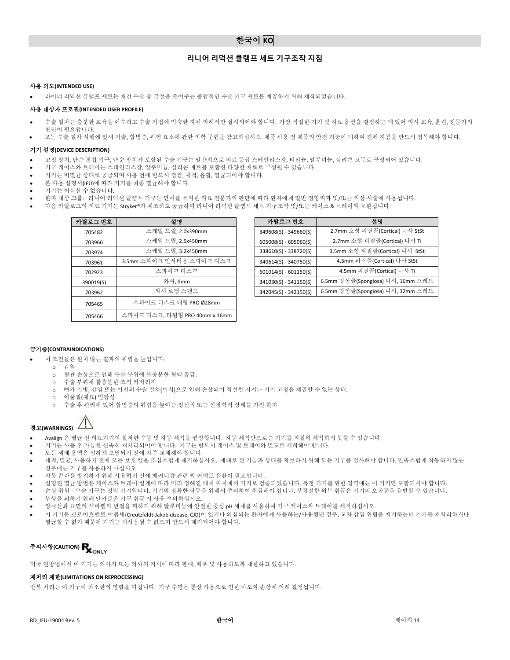# **리니어 리덕션 클램프 세트 기구조작 지침**

# 사용 의도**(INTENDED USE)**

• 라이너 리덕션 클램프 세트는 재건 수술 중 골절을 줄여주는 종합적인 수술 기구 세트를 제공하기 위해 제작되었습니다.

# 사용 대상자 프로필**(INTENDED USER PROFILE)**

- 수술 절차는 충분한 교육을 이수하고 수술 기법에 익숙한 자에 의해서만 실시되어야 합니다. 가장 적절한 기기 및 치료 옵션을 결정하는 데 있어 의사 교육, 훈련, 전문가의 판단이 필요합니다.
- 모든 수술 절차 시행에 앞서 기술, 합병증, 위험 요소에 관한 의학 문헌을 참고하십시오. 제품 사용 전 제품의 안전 기능에 대하여 전체 지침을 반드시 정독해야 합니다.

# 기기 설명**(DEVICE DESCRIPTION)**

- 고정 장치, 단순 경첩 기구, 단순 장치가 포함된 수술 기구는 일반적으로 의료 등급 스테인리스강, 티타늄, 알루미늄, 실리콘 고무로 구성되어 있습니다.
- 기구 케이스와 트레이는 스테인리스강, 알루미늄, 실리콘 매트를 포함한 다양한 재료로 구성될 수 있습니다.
- 기기는 비멸균 상태로 공급되며 사용 전에 반드시 점검, 세척, 윤활, 멸균되어야 합니다.
- 본 사용 설명서(IFU)에 따라 기기를 최종 멸균해야 합니다.
- 기기는 이식할 수 없습니다.
- 환자 대상 그룹: 리니어 리덕션 클램프 기구는 면허를 소지한 의료 전문가의 판단에 따라 환자에게 일반 정형외과 및/또는 외상 시술에 사용됩니다.
	- 다음 카탈로그의 의료 기기는 Stryker®가 제조하고 공급하며 리니어 리덕션 클램프 세트 기구조작 및/또는 케이스 & 트레이와 호환됩니다:

| 설명                            | 카탈로그 번호                 | 설명                   |
|-------------------------------|-------------------------|----------------------|
| 스케일 드릴, 2.0x390mm             | 349608(S) - 349660(S)   | 2.7mm 소형 피질골(C       |
| 스케일 드릴, 2.5x450mm             | $605008(S) - 605060(S)$ | 2.7mm 소형 피질골(        |
| 스케일 드릴, 3.2x450mm             | 338610(S) - 338720(S)   | 3.5mm 소형 피질골(C       |
| 3.5mm 스파이크 인서터용 스파이크 디스크      | 340614(S) - 340750(S)   | 4.5mm 피질골(Cor        |
| 스파이크 디스크                      | $601014(S) - 601150(S)$ | 4.5mm 피질골(Co         |
| 와셔, 9mm                       | 341030(S) - 341150(S)   | 6.5mm 망상골(Spongiosa) |
| 와셔 로딩 스탠드                     | 342045(S) - 342150(S)   | 6.5mm 망상골(Spongiosa) |
| 스파이크 디스크 대형 PRO Ø28mm         |                         |                      |
| 스파이크 디스크, 타원형 PRO 40mm x 16mm |                         |                      |
|                               |                         |                      |

| 탈로그 번호    | 설명                       | 카탈로그 번호                 | 설명                                |
|-----------|--------------------------|-------------------------|-----------------------------------|
| 705482    | 스케일 드릴, 2.0x390mm        | 349608(S) - 349660(S)   | 2.7mm 소형 피질골(Cortical) 나사 StSt    |
| 703966    | 스케일 드릴, 2.5x450mm        | $605008(S) - 605060(S)$ | 2.7mm 소형 피질골(Cortical) 나사 Ti      |
| 703974    | 스케일 드릴, 3.2x450mm        | 338610(S) - 338720(S)   | 3.5mm 소형 피질골(Cortical) 나사 StSt    |
| 703961    | 3.5mm 스파이크 인서터용 스파이크 디스크 | $340614(S) - 340750(S)$ | 4.5mm 피질골(Cortical) 나사 StSt       |
| 702923    | 스파이크 디스크                 | $601014(S) - 601150(S)$ | 4.5mm 피질골(Cortical) 나사 Ti         |
| 390019(S) | 와셔, 9mm                  | 341030(S) - 341150(S)   | 6.5mm 망상골(Spongiosa) 나사, 16mm 스레드 |
| 703962    | 와셔 로딩 스탠드                | 342045(S) - 342150(S)   | 6.5mm 망상골(Spongiosa) 나사, 32mm 스레드 |

# 금기증**(CONTRAINDICATIONS)**

- 이 조건들은 원치 않는 결과의 위험을 높입니다:
	- o 감염
	- o 혈관 손상으로 인해 수술 부위에 불충분한 혈액 공급.
	- o 수술 부위에 불충분한 조직 커버리지 o 뼈가 질병, 감염 또는 이전의 수술 절차(이식)으로 인해 손상되어 적절한 지지나 기기 고정을 제공할 수 없는 상태.
	- o 이물질(재료) 민감성
	- o 수술 후 관리에 있어 합병증의 위험을 높이는 정신적 또는 신경학적 상태를 가진 환자



- Avalign 은 멸균 전 의료기기의 철저한 수동 및 자동 세척을 권장합니다. 자동 세척만으로는 기기를 적절히 세척하지 못할 수 있습니다.
- 기기는 사용 후 가능한 신속히 재처리되어야 합니다. 기구는 반드시 케이스 및 트레이와 별도로 세척해야 합니다.
- 모든 세제 용액은 심하게 오염되기 전에 자주 교체해야 합니다.
- 세척, 멸균, 사용하기 전에 모든 보호 캡을 조심스럽게 제거하십시오. 제대로 된 기능과 상태를 확보하기 위해 모든 기구를 검사해야 합니다. 만족스럽게 작동하지 않는 경우에는 기구를 사용하지 마십시오.
- 작동 곤란을 방지하기 위해 사용하기 전에 매커니즘 관련 퀵 커넥트 윤활이 필요합니다.
- 설명된 멸균 방법은 케이스와 트레이 설계에 따라 미리 정해진 배치 위치에서 기기로 검증되었습니다. 특정 기기를 위한 영역에는 이 기기만 포함되어야 합니다.
- 손상 위험 수술 기구는 정밀 기기입니다. 기기의 정확한 작동을 위해서 주의하여 취급해야 합니다. 부적절한 외부 취급은 기기의 오작동을 유발할 수 있습니다.
- 부상을 피하기 위해 날카로운 기구 취급 시 사용 주의하십시오.
- 양극산화 표면의 색바램과 변질을 피하기 위해 알루미늄에 안전한 중성 pH 세제를 사용하여 기구 케이스와 트레이를 세척하십시오.
- 이 기기를 크로이츠펠트-야콥병(Creutzfeldt-Jakob disease, CJD)이 있거나 의심되는 환자에게 사용하는/사용했던 경우, 교차 감염 위험을 제거하는데 기기를 재처리하거나 멸균할 수 없기 때문에 기기는 재사용될 수 없으며 반드시 폐기되어야 합니다.

# 주의사항**(CAUTION)**

미국 연방법에서 이 기기는 의사가 또는 의사의 지시에 따라 판매, 배포 및 사용하도록 제한하고 있습니다.

# 재처리 제한**(LIMITATIONS ON REPROCESSING)**

반복 처리는 이 기구에 최소한의 영향을 미칩니다. 기구 수명은 통상 사용으로 인한 마모와 손상에 의해 결정됩니다.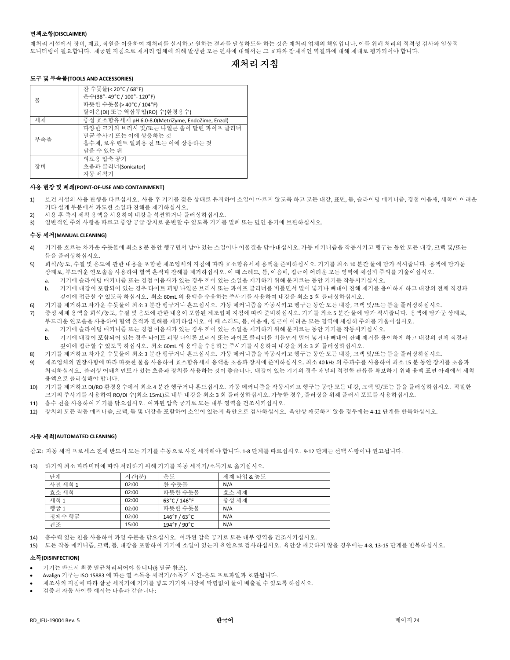# 면책조항**(DISCLAIMER)**

재처리 시설에서 장비, 재료, 직원을 이용하여 재처리를 실시하고 원하는 결과를 달성하도록 하는 것은 재처리 업체의 책임입니다. 이를 위해 처리의 적격성 검사와 일상적 모니터링이 필요합니다. 제공된 지침으로 재처리 업체에 의해 발생한 모든 편차에 대해서는 그 효과와 잠재적인 역결과에 대해 제대로 평가되어야 합니다.

# 재처리 지침

# 도구 및 부속품**(TOOLS AND ACCESSORIES)**

|     | 찬 수돗물(< 20°C / 68°F)                             |
|-----|--------------------------------------------------|
| 물   | 온수(38°-49°C / 100°-120°F)                        |
|     | 따뜻한 수돗물(> 40°C / 104°F)                          |
|     | 탈이온(DI) 또는 역삼투압(RO) 수(환경용수)                      |
| 세제  | 중성 효소함유세제 pH 6.0-8.0(MetriZyme, EndoZime, Enzol) |
|     | 다양한 크기의 브러시 및/또는 나일론 솔이 달린 파이프 클리너               |
| 부속품 | 멸규 주사기 또는 이에 상응하는 것                              |
|     | 흡수제, 로우 린트 일회용 천 또는 이에 상응하는 것                    |
|     | 담을 수 있는 괜                                        |
|     | 의료용 압축 공기                                        |
| 장비  | 초음파 클리너(Sonicator)                               |
|     | 자동 세척기                                           |

# 사용 현장 및 폐쇄**(POINT-OF-USE AND CONTAINMENT)**

- 1) 보건 시설의 사용 관행을 따르십시오. 사용 후 기기를 젖은 상태로 유지하여 소일이 마르지 않도록 하고 모든 내강, 표면, 틈, 슬라이딩 메커니즘, 경첩 이음새, 세척이 어려운 기타 설계 부분에서 과도한 소일과 잔해를 제거하십시오.
- 2) 사용 후 즉시 세척 용액을 사용하여 내강을 석션하거나 플러싱하십시오.
- 3) 일반적인 주의 사항을 따르고 중앙 공급 장치로 운반할 수 있도록 기기를 밀폐 또는 덮인 용기에 보관하십시오.

# 수동 세척**(MANUAL CLEANING)**

- 4) 기기를 흐르는 차가운 수돗물에 최소 3 분 동안 헹구면서 남아 있는 소일이나 이물질을 닦아내십시오. 가동 메커니즘을 작동시키고 헹구는 동안 모든 내강, 크랙 및/또는 틈을 플러싱하십시오.
- 5) 희석/농도, 수질 및 온도에 관한 내용을 포함한 제조업체의 지침에 따라 효소함유세제 용액을 준비하십시오. 기기를 최소 10 분간 물에 담가 적셔줍니다. 용액에 담가둔 상태로, 부드러운 연모솔을 사용하여 혈액 흔적과 잔해를 제거하십시오. 이 때 스레드, 틈, 이음매, 접근이 어려운 모든 영역에 세심히 주의를 기울이십시오.
	- a. 기기에 슬라이딩 매커니즘 또는 경첩 이음새가 있는 경우 끼어 있는 소일을 제거하기 위해 문지르는 동안 기기를 작동시키십시오.
	- b. 기기에 내강이 포함되어 있는 경우 타이트 피팅 나일론 브러시 또는 파이프 클리너를 비틀면서 밀어 넣거나 빼내어 잔해 제거를 용이하게 하고 내강의 전체 직경과 깊이에 접근할 수 있도록 하십시오. 최소 60mL 의 용액을 수용하는 주사기를 사용하여 내강을 최소 3 회 플러싱하십시오.
- 6) 기기를 제거하고 차가운 수돗물에 최소 3 분간 헹구거나 흔드십시오. 가동 메커니즘을 작동시키고 헹구는 동안 모든 내강, 크랙 및/또는 틈을 플러싱하십시오.
- 7) 중성 세제 용액을 희석/농도, 수질 및 온도에 관한 내용이 포함된 제조업체 지침에 따라 준비하십시오. 기기를 최소 5 분간 물에 담가 적셔줍니다. 용액에 담가둔 상태로, 부드러운 연모솔을 사용하여 혈액 흔적과 잔해를 제거하십시오. 이 때 스레드, 틈, 이음매, 접근이 어려운 모든 영역에 세심히 주의를 기울이십시오.
	- a. 기기에 슬라이딩 매커니즘 또는 경첩 이음새가 있는 경우 끼어 있는 소일을 제거하기 위해 문지르는 동안 기기를 작동시키십시오.
	- b. 기기에 내강이 포함되어 있는 경우 타이트 피팅 나일론 브러시 또는 파이프 클리너를 비틀면서 밀어 넣거나 빼내어 잔해 제거를 용이하게 하고 내강의 전체 직경과 깊이에 접근할 수 있도록 하십시오. 최소 60mL 의 용액을 수용하는 주사기를 사용하여 내강을 최소 3 회 플러싱하십시오.
- 8) 기기를 제거하고 차가운 수돗물에 최소 3 분간 헹구거나 흔드십시오. 가동 메커니즘을 작동시키고 헹구는 동안 모든 내강, 크랙 및/또는 틈을 플러싱하십시오.
- 9) 제조업체의 권장사항에 따라 따뜻한 물을 사용하여 효소함유세제 용액을 초음파 장치에 준비하십시오. 최소 40 kHz 의 주파수를 사용하여 최소 15 분 동안 장치를 초음파 처리하십시오. 플러싱 어태치먼트가 있는 초음파 장치를 사용하는 것이 좋습니다. 내강이 있는 기기의 경우 채널의 적절한 관류를 확보하기 위해 용액 표면 아래에서 세척 용액으로 플러싱해야 합니다.
- 10) 기기를 제거하고 DI/RO 환경용수에서 최소 4 분간 헹구거나 흔드십시오. 가동 메커니즘을 작동시키고 헹구는 동안 모든 내강, 크랙 및/또는 틈을 플러싱하십시오. 적절한 크기의 주사기를 사용하여 RO/DI 수(최소 15mL)로 내부 내강을 최소 3 회 플러싱하십시오. 가능한 경우, 플러싱을 위해 플러시 포트를 사용하십시오.
- 11) 흡수 천을 사용하여 기기를 닦으십시오. 여과된 압축 공기로 모든 내부 영역을 건조시키십시오.
- 12) 장치의 모든 작동 메커니즘, 크랙, 틈 및 내강을 포함하여 소일이 있는지 육안으로 검사하십시오. 육안상 깨끗하지 않을 경우에는 4-12 단계를 반복하십시오.

# 자동 세척**(AUTOMATED CLEANING)**

참고: 자동 세척 프로세스 전에 반드시 모든 기기를 수동으로 사전 세척해야 합니다. 1-8 단계를 따르십시오. 9-12 단계는 선택 사항이나 권고됩니다.

13) 하기의 최소 파라미터에 따라 처리하기 위해 기기를 자동 세척기/소독기로 옮기십시오.

| 다계      | 시간(분) | 온도                            | 세제 타입 & 농도 |
|---------|-------|-------------------------------|------------|
| 사전 세척 1 | 02:00 | 차 수돗물                         | N/A        |
| 효소 세척   | 02:00 | 따뜻한 수돗물                       | 효소 세제      |
| 세척 1    | 02:00 | 63°C / 146°F                  | 중성 세제      |
| 헥굼 1    | 02:00 | 따뜻한 수돗물                       | N/A        |
| 정제수 헹굼  | 02:00 | $146^\circ$ F / 63 $^\circ$ C | N/A        |
| 건조      | 15:00 | 194°F / 90°C                  | N/A        |

14) 흡수력 있는 천을 사용하여 과잉 수분을 닦으십시오. 여과된 압축 공기로 모든 내부 영역을 건조시키십시오.

15) 모든 작동 메커니즘, 크랙, 틈, 내강을 포함하여 기기에 소일이 있는지 육안으로 검사하십시오. 육안상 깨끗하지 않을 경우에는 4-8, 13-15 단계를 반복하십시오.

# 소독**(DISINFECTION)**

- 기기는 반드시 최종 멸균처리되어야 합니다(§ 멸균 참조).
- Avalign 기구는 ISO 15883 에 따른 열 소독용 세척기/소독기 시간-온도 프로파일과 호환됩니다.
- 제조사의 지침에 따라 살균 세척기에 기기를 넣고 기기와 내강에 막힘없이 물이 배출될 수 있도록 하십시오.
- 검증된 자동 사이클 예시는 다음과 같습니다: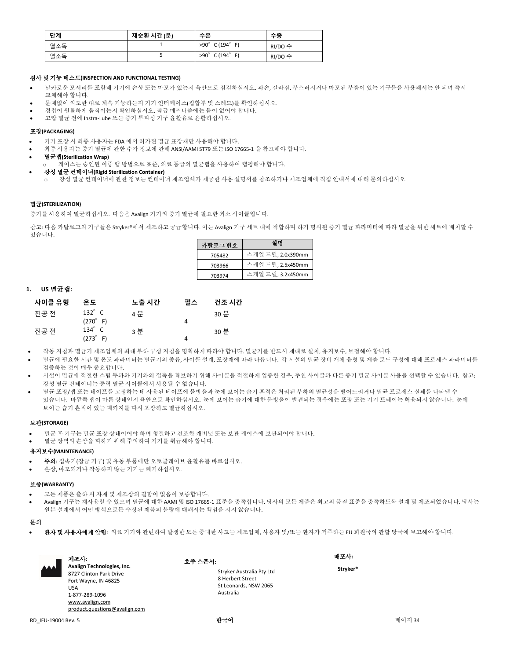| 단계  | 재순환 시간 (분) | 수온                             | 수종      |
|-----|------------|--------------------------------|---------|
| 열소독 |            | $>90^\circ$ C (194 $^\circ$ F) | RI/DO 수 |
| 열소독 |            | $>90^\circ$ C (194 $^\circ$ F) | RI/DO 수 |

# 검사 및 기능 테스트**(INSPECTION AND FUNCTIONAL TESTING)**

- 날카로운 모서리를 포함해 기기에 손상 또는 마모가 있는지 육안으로 점검하십시오. 파손, 갈라짐, 부스러지거나 마모된 부품이 있는 기구들을 사용해서는 안 되며 즉시 교체해야 합니다.
- 문제없이 의도한 대로 계속 기능하는지 기기 인터페이스(접합부 및 스레드)를 확인하십시오.
- 경첩이 원활하게 움직이는지 확인하십시오. 잠금 메커니즘에는 틈이 없어야 합니다.
- 고압 멸균 전에 Instra-Lube 또는 증기 투과성 기구 윤활유로 윤활하십시오.

# 포장**(PACKAGING)**

- 기기 포장 시 최종 사용자는 FDA 에서 허가된 멸균 표장재만 사용해야 합니다.
- 최종 사용자는 증기 멸균에 관한 추가 정보에 관해 ANSI/AAMI ST79 또는 ISO 17665-1 을 참고해야 합니다.
- 멸균랩**(Sterilization Wrap)**
- ...<br>케이스는 승인된 이중 랩 방법으로 표준, 의료 등급의 멸균랩을 사용하여 랩핑해야 합니다.
- 강성 멸균 컨테이너**(Rigid Sterilization Container)**
	- 강성 멸균 컨테이너에 관한 정보는 컨테이너 제조업체가 제공한 사용 설명서를 참조하거나 제조업체에 직접 안내서에 대해 문의하십시오.

# 멸균**(STERILIZATION)**

증기를 사용하여 멸균하십시오. 다음은 Avalign 기기의 증기 멸균에 필요한 최소 사이클입니다.

참고: 다음 카탈로그의 기구들은 Stryker®에서 제조하고 공급합니다. 이는 Avalign 기구 세트 내에 적합하며 하기 명시된 증기 멸균 파라미터에 따라 멸균을 위한 세트에 배치할 수 있습니다.

| 카탈르그 번호 | 설명                |
|---------|-------------------|
| 705482  | 스케일 드릴, 2.0x390mm |
| 703966  | 스케일 드릴, 2.5x450mm |
| 703974  | 스케일 드릴, 3.2x450mm |

# **1. US** 멸균랩**:**

| 사이클 유형 | 온도                   | 노출 시간 | 필스 | 건조 시간 |
|--------|----------------------|-------|----|-------|
| 진공 전   | 132 $^{\circ}$ C     | 4 분   |    | 30 분  |
|        | $(270^{\circ} \; F)$ |       | 4  |       |
| 진공 전   | $134^\circ$ C        | 3 분   |    | 30 분  |
|        | $(273^{\circ} \; F)$ |       | Δ  |       |

- 작동 지침과 멸균기 제조업체의 최대 부하 구성 지침을 명확하게 따라야 합니다. 멸균기를 반드시 제대로 설치, 유지보수, 보정해야 합니다.
- 멸균에 필요한 시간 및 온도 파라미터는 멸균기의 종류, 사이클 설계, 포장재에 따라 다릅니다. 각 시설의 멸균 장비 개체 유형 및 제품 로드 구성에 대해 프로세스 파라미터를 검증하는 것이 매우 중요합니다.
- 시설이 멸균에 적절한 스팀 투과와 기기와의 접촉을 확보하기 위해 사이클을 적절하게 입증한 경우, 추천 사이클과 다른 증기 멸균 사이클 사용을 선택할 수 있습니다. 참고: 강성 멸균 컨테이너는 중력 멸균 사이클에서 사용될 수 없습니다.
- 멸균 포장/랩 또는 테이프를 고정하는 데 사용된 테이프에 물방울과 눈에 보이는 습기 흔적은 처리된 부하의 멸균성을 떨어뜨리거나 멸균 프로세스 실패를 나타낼 수 있습니다. 바깥쪽 랩이 마른 상태인지 육안으로 확인하십시오. 눈에 보이는 습기에 대한 물방울이 발견되는 경우에는 포장 또는 기기 트레이는 허용되지 않습니다. 눈에 보이는 습기 흔적이 있는 패키지를 다시 포장하고 멸균하십시오.

# 보관**(STORAGE)**

- 멸균 후 기구는 멸균 포장 상태이어야 하며 청결하고 건조한 캐비닛 또는 보관 케이스에 보관되어야 합니다.
- 멸균 장벽의 손상을 피하기 위해 주의하여 기기를 취급해야 합니다.

# 유지보수**(MAINTENANCE)**

- 주의**:** 접속기(잠금 기구) 및 유동 부품에만 오토클레이브 윤활유를 바르십시오.
- 손상, 마모되거나 작동하지 않는 기기는 폐기하십시오.

# 보증**(WARRANTY)**

- 모든 제품은 출하 시 자재 및 제조상의 결함이 없음이 보증합니다.
- Avalign 기구는 재사용할 수 있으며 멸균에 대한 AAMI 및 ISO 17665-1 표준을 충족합니다. 당사의 모든 제품은 최고의 품질 표준을 충족하도록 설계 및 제조되었습니다. 당사는 원본 설계에서 어떤 방식으로든 수정된 제품의 불량에 대해서는 책임을 지지 않습니다.

# 문의

• 환자 및 사용자에게 알림: 의료 기기와 관련하여 발생한 모든 중대한 사고는 제조업체, 사용자 및/또는 환자가 거주하는 EU 회원국의 관할 당국에 보고해야 합니다.

| <b>AAA</b> | 제조사:<br>Avalign Technologies, Inc.<br>8727 Clinton Park Drive<br>Fort Wayne, IN 46825<br><b>USA</b><br>1-877-289-1096<br>www.avalign.com | 호주 스폰서:<br>Stryker Australia Pty Ltd<br>8 Herbert Street<br>St Leonards, NSW 2065<br>Australia | 배포사:<br>Stryker® |  |
|------------|------------------------------------------------------------------------------------------------------------------------------------------|------------------------------------------------------------------------------------------------|------------------|--|
|            | product.questions@avalign.com                                                                                                            |                                                                                                |                  |  |